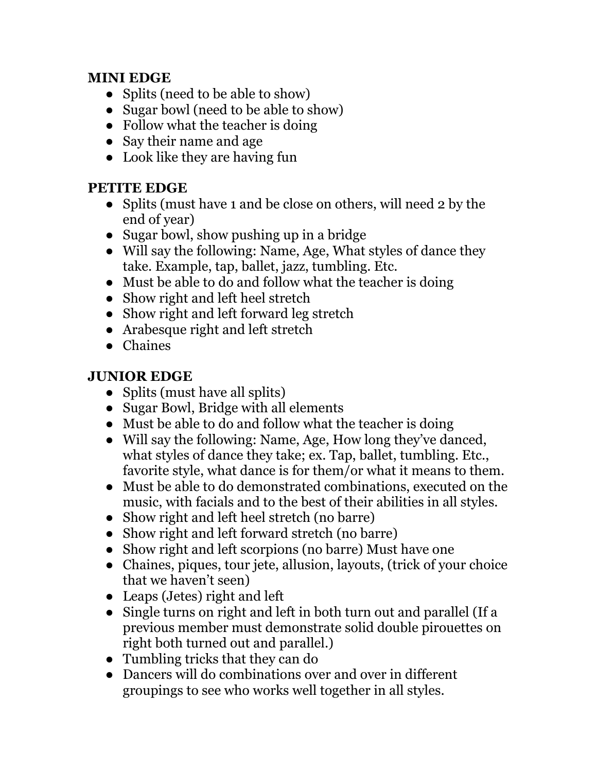## **MINI EDGE**

- Splits (need to be able to show)
- Sugar bowl (need to be able to show)
- Follow what the teacher is doing
- Say their name and age
- Look like they are having fun

## **PETITE EDGE**

- Splits (must have 1 and be close on others, will need 2 by the end of year)
- Sugar bowl, show pushing up in a bridge
- Will say the following: Name, Age, What styles of dance they take. Example, tap, ballet, jazz, tumbling. Etc.
- Must be able to do and follow what the teacher is doing
- Show right and left heel stretch
- Show right and left forward leg stretch
- Arabesque right and left stretch
- Chaines

# **JUNIOR EDGE**

- Splits (must have all splits)
- Sugar Bowl, Bridge with all elements
- Must be able to do and follow what the teacher is doing
- Will say the following: Name, Age, How long they've danced, what styles of dance they take; ex. Tap, ballet, tumbling. Etc., favorite style, what dance is for them/or what it means to them.
- Must be able to do demonstrated combinations, executed on the music, with facials and to the best of their abilities in all styles.
- Show right and left heel stretch (no barre)
- Show right and left forward stretch (no barre)
- Show right and left scorpions (no barre) Must have one
- Chaines, piques, tour jete, allusion, layouts, (trick of your choice that we haven't seen)
- Leaps (Jetes) right and left
- Single turns on right and left in both turn out and parallel (If a previous member must demonstrate solid double pirouettes on right both turned out and parallel.)
- Tumbling tricks that they can do
- Dancers will do combinations over and over in different groupings to see who works well together in all styles.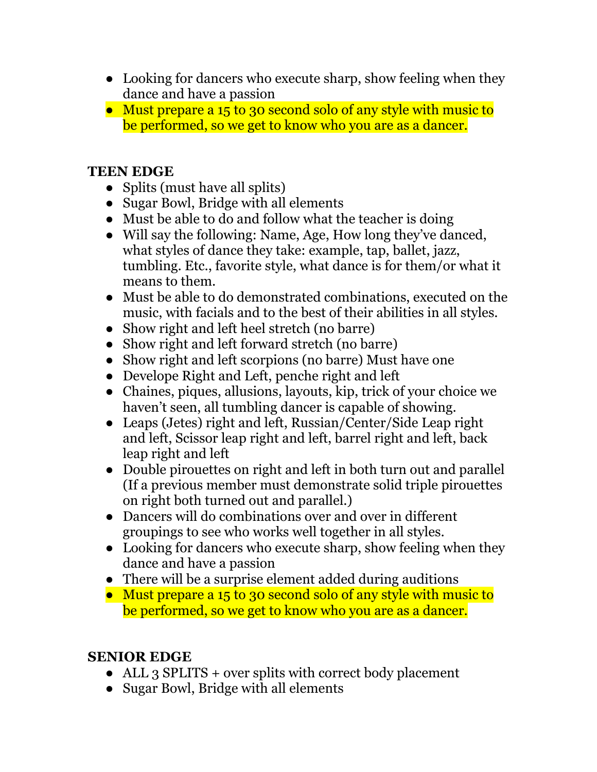- Looking for dancers who execute sharp, show feeling when they dance and have a passion
- Must prepare a 15 to 30 second solo of any style with music to be performed, so we get to know who you are as a dancer.

#### **TEEN EDGE**

- Splits (must have all splits)
- Sugar Bowl, Bridge with all elements
- Must be able to do and follow what the teacher is doing
- Will say the following: Name, Age, How long they've danced, what styles of dance they take: example, tap, ballet, jazz, tumbling. Etc., favorite style, what dance is for them/or what it means to them.
- Must be able to do demonstrated combinations, executed on the music, with facials and to the best of their abilities in all styles.
- Show right and left heel stretch (no barre)
- Show right and left forward stretch (no barre)
- Show right and left scorpions (no barre) Must have one
- Develope Right and Left, penche right and left
- Chaines, piques, allusions, layouts, kip, trick of your choice we haven't seen, all tumbling dancer is capable of showing.
- Leaps (Jetes) right and left, Russian/Center/Side Leap right and left, Scissor leap right and left, barrel right and left, back leap right and left
- Double pirouettes on right and left in both turn out and parallel (If a previous member must demonstrate solid triple pirouettes on right both turned out and parallel.)
- Dancers will do combinations over and over in different groupings to see who works well together in all styles.
- Looking for dancers who execute sharp, show feeling when they dance and have a passion
- There will be a surprise element added during auditions
- Must prepare a 15 to 30 second solo of any style with music to be performed, so we get to know who you are as a dancer.

## **SENIOR EDGE**

- ALL 3 SPLITS + over splits with correct body placement
- Sugar Bowl, Bridge with all elements